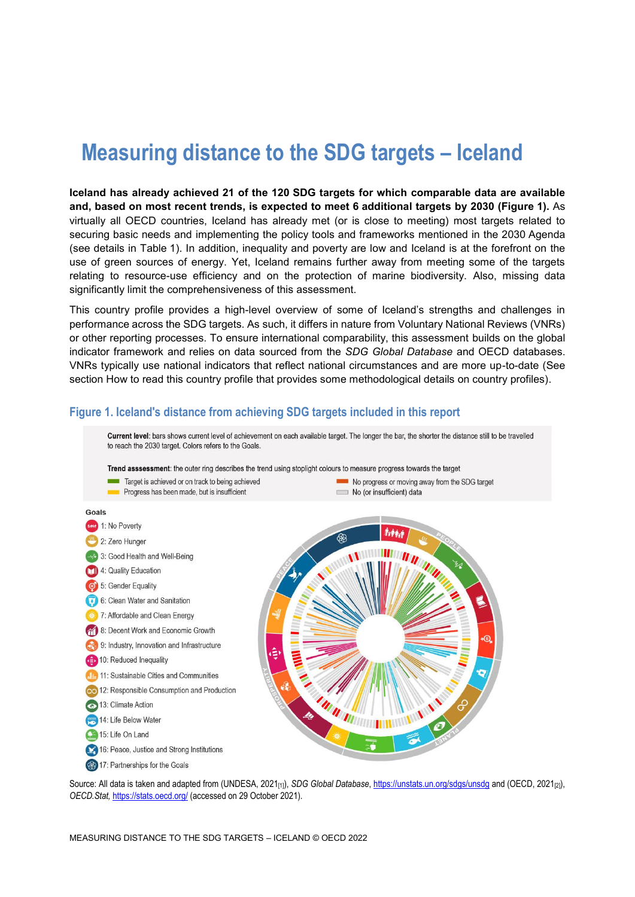# **Measuring distance to the SDG targets – Iceland**

**Iceland has already achieved 21 of the 120 SDG targets for which comparable data are available and, based on most recent trends, is expected to meet 6 additional targets by 2030 [\(Figure](#page-0-0) 1).** As virtually all OECD countries, Iceland has already met (or is close to meeting) most targets related to securing basic needs and implementing the policy tools and frameworks mentioned in the 2030 Agenda (see details in [Table](#page-3-0) 1). In addition, inequality and poverty are low and Iceland is at the forefront on the use of green sources of energy. Yet, Iceland remains further away from meeting some of the targets relating to resource-use efficiency and on the protection of marine biodiversity. Also, missing data significantly limit the comprehensiveness of this assessment.

This country profile provides a high-level overview of some of Iceland's strengths and challenges in performance across the SDG targets. As such, it differs in nature from Voluntary National Reviews (VNRs) or other reporting processes. To ensure international comparability, this assessment builds on the global indicator framework and relies on data sourced from the *SDG Global Database* and OECD databases. VNRs typically use national indicators that reflect national circumstances and are more up-to-date (See section [How to read this](#page-7-0) country profile that provides some methodological details on country profiles).

#### <span id="page-0-0"></span>**Figure 1. Iceland's distance from achieving SDG targets included in this report**



Source: All data is taken and adapted from (UNDESA, 2021<sub>[1]</sub>), *SDG Global Database*[, https://unstats.un.org/sdgs/unsdg](https://unstats.un.org/sdgs/unsdg) and (OECD, 2021<sub>[2]</sub>), *OECD.Stat,* <https://stats.oecd.org/> (accessed on 29 October 2021).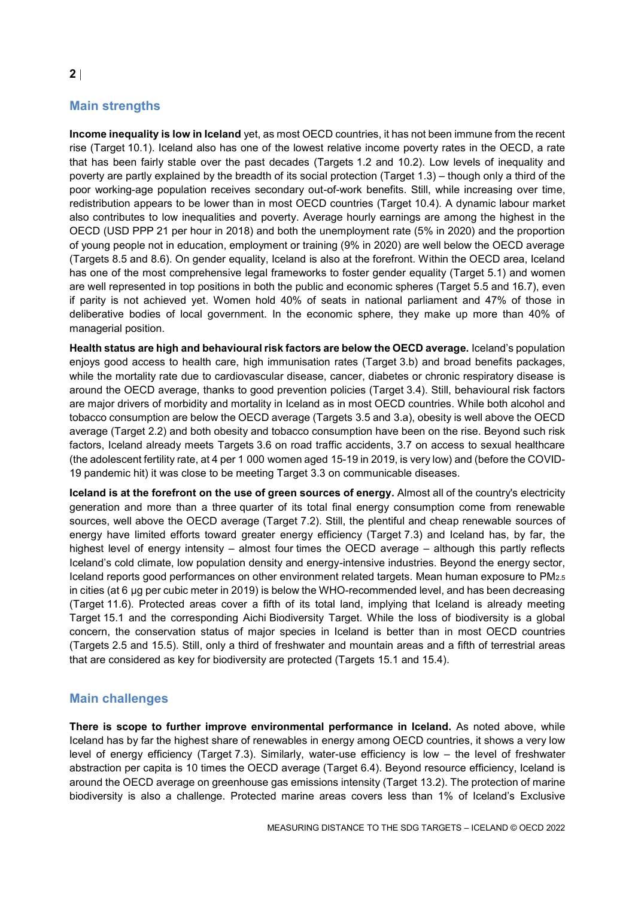# **Main strengths**

**Income inequality is low in Iceland** yet, as most OECD countries, it has not been immune from the recent rise (Target 10.1). Iceland also has one of the lowest relative income poverty rates in the OECD, a rate that has been fairly stable over the past decades (Targets 1.2 and 10.2). Low levels of inequality and poverty are partly explained by the breadth of its social protection (Target 1.3) – though only a third of the poor working-age population receives secondary out-of-work benefits. Still, while increasing over time, redistribution appears to be lower than in most OECD countries (Target 10.4). A dynamic labour market also contributes to low inequalities and poverty. Average hourly earnings are among the highest in the OECD (USD PPP 21 per hour in 2018) and both the unemployment rate (5% in 2020) and the proportion of young people not in education, employment or training (9% in 2020) are well below the OECD average (Targets 8.5 and 8.6). On gender equality, Iceland is also at the forefront. Within the OECD area, Iceland has one of the most comprehensive legal frameworks to foster gender equality (Target 5.1) and women are well represented in top positions in both the public and economic spheres (Target 5.5 and 16.7), even if parity is not achieved yet. Women hold 40% of seats in national parliament and 47% of those in deliberative bodies of local government. In the economic sphere, they make up more than 40% of managerial position.

**Health status are high and behavioural risk factors are below the OECD average.** Iceland's population enjoys good access to health care, high immunisation rates (Target 3.b) and broad benefits packages, while the mortality rate due to cardiovascular disease, cancer, diabetes or chronic respiratory disease is around the OECD average, thanks to good prevention policies (Target 3.4). Still, behavioural risk factors are major drivers of morbidity and mortality in Iceland as in most OECD countries. While both alcohol and tobacco consumption are below the OECD average (Targets 3.5 and 3.a), obesity is well above the OECD average (Target 2.2) and both obesity and tobacco consumption have been on the rise. Beyond such risk factors, Iceland already meets Targets 3.6 on road traffic accidents, 3.7 on access to sexual healthcare (the adolescent fertility rate, at 4 per 1 000 women aged 15-19 in 2019, is very low) and (before the COVID-19 pandemic hit) it was close to be meeting Target 3.3 on communicable diseases.

**Iceland is at the forefront on the use of green sources of energy.** Almost all of the country's electricity generation and more than a three quarter of its total final energy consumption come from renewable sources, well above the OECD average (Target 7.2). Still, the plentiful and cheap renewable sources of energy have limited efforts toward greater energy efficiency (Target 7.3) and Iceland has, by far, the highest level of energy intensity – almost four times the OECD average – although this partly reflects Iceland's cold climate, low population density and energy-intensive industries. Beyond the energy sector, Iceland reports good performances on other environment related targets. Mean human exposure to PM2.5 in cities (at 6 µg per cubic meter in 2019) is below the WHO-recommended level, and has been decreasing (Target 11.6). Protected areas cover a fifth of its total land, implying that Iceland is already meeting Target 15.1 and the corresponding Aichi Biodiversity Target. While the loss of biodiversity is a global concern, the conservation status of major species in Iceland is better than in most OECD countries (Targets 2.5 and 15.5). Still, only a third of freshwater and mountain areas and a fifth of terrestrial areas that are considered as key for biodiversity are protected (Targets 15.1 and 15.4).

## **Main challenges**

**There is scope to further improve environmental performance in Iceland.** As noted above, while Iceland has by far the highest share of renewables in energy among OECD countries, it shows a very low level of energy efficiency (Target 7.3). Similarly, water-use efficiency is low – the level of freshwater abstraction per capita is 10 times the OECD average (Target 6.4). Beyond resource efficiency, Iceland is around the OECD average on greenhouse gas emissions intensity (Target 13.2). The protection of marine biodiversity is also a challenge. Protected marine areas covers less than 1% of Iceland's Exclusive

**2**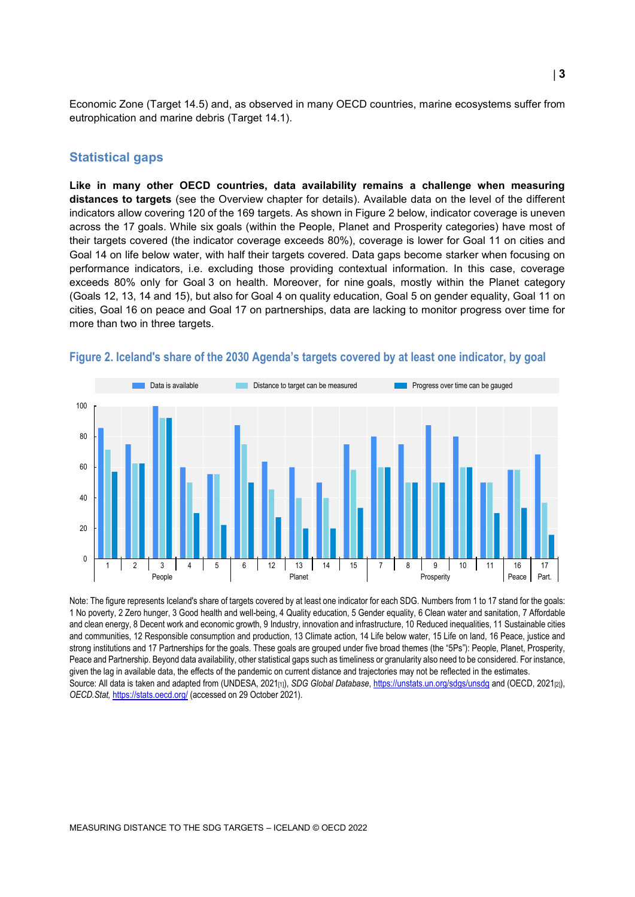Economic Zone (Target 14.5) and, as observed in many OECD countries, marine ecosystems suffer from eutrophication and marine debris (Target 14.1).

#### **Statistical gaps**

**Like in many other OECD countries, data availability remains a challenge when measuring distances to targets** (see the Overview chapter for details). Available data on the level of the different indicators allow covering 120 of the 169 targets. As shown in [Figure](#page-2-0) 2 below, indicator coverage is uneven across the 17 goals. While six goals (within the People, Planet and Prosperity categories) have most of their targets covered (the indicator coverage exceeds 80%), coverage is lower for Goal 11 on cities and Goal 14 on life below water, with half their targets covered. Data gaps become starker when focusing on performance indicators, i.e. excluding those providing contextual information. In this case, coverage exceeds 80% only for Goal 3 on health. Moreover, for nine goals, mostly within the Planet category (Goals 12, 13, 14 and 15), but also for Goal 4 on quality education, Goal 5 on gender equality, Goal 11 on cities, Goal 16 on peace and Goal 17 on partnerships, data are lacking to monitor progress over time for more than two in three targets.



#### <span id="page-2-0"></span>**Figure 2. Iceland's share of the 2030 Agenda's targets covered by at least one indicator, by goal**

Note: The figure represents Iceland's share of targets covered by at least one indicator for each SDG. Numbers from 1 to 17 stand for the goals: 1 No poverty, 2 Zero hunger, 3 Good health and well-being, 4 Quality education, 5 Gender equality, 6 Clean water and sanitation, 7 Affordable and clean energy, 8 Decent work and economic growth, 9 Industry, innovation and infrastructure, 10 Reduced inequalities, 11 Sustainable cities and communities, 12 Responsible consumption and production, 13 Climate action, 14 Life below water, 15 Life on land, 16 Peace, justice and strong institutions and 17 Partnerships for the goals. These goals are grouped under five broad themes (the "5Ps"): People, Planet, Prosperity, Peace and Partnership. Beyond data availability, other statistical gaps such as timeliness or granularity also need to be considered. For instance, given the lag in available data, the effects of the pandemic on current distance and trajectories may not be reflected in the estimates. Source: All data is taken and adapted from (UNDESA, 2021<sub>[1]</sub>), *SDG Global Database*[, https://unstats.un.org/sdgs/unsdg](https://unstats.un.org/sdgs/unsdg) and (OECD, 2021<sub>[2]</sub>), *OECD.Stat,* <https://stats.oecd.org/> (accessed on 29 October 2021).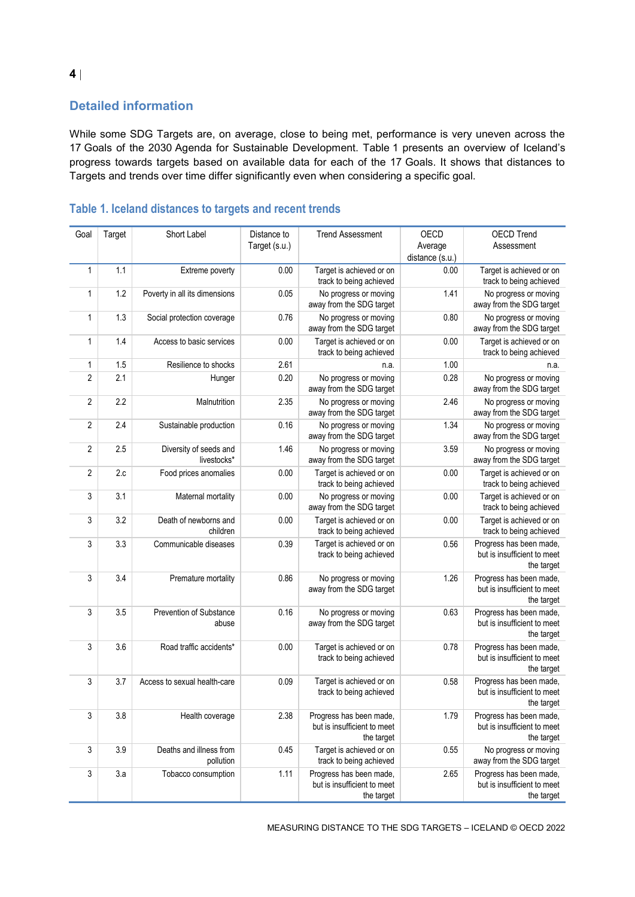# **Detailed information**

While some SDG Targets are, on average, close to being met, performance is very uneven across the 17 Goals of the 2030 Agenda for Sustainable Development. [Table](#page-3-0) 1 presents an overview of Iceland's progress towards targets based on available data for each of the 17 Goals. It shows that distances to Targets and trends over time differ significantly even when considering a specific goal.

| Goal           | Target | Short Label                           | Distance to<br>Target (s.u.) | <b>Trend Assessment</b>                                              | OECD<br>Average<br>distance (s.u.) | <b>OECD Trend</b><br>Assessment                                      |
|----------------|--------|---------------------------------------|------------------------------|----------------------------------------------------------------------|------------------------------------|----------------------------------------------------------------------|
| $\mathbf{1}$   | 1.1    | Extreme poverty                       | 0.00                         | Target is achieved or on<br>track to being achieved                  | 0.00                               | Target is achieved or on<br>track to being achieved                  |
| $\mathbf{1}$   | 1.2    | Poverty in all its dimensions         | 0.05                         | No progress or moving<br>away from the SDG target                    | 1.41                               | No progress or moving<br>away from the SDG target                    |
| 1              | 1.3    | Social protection coverage            | 0.76                         | No progress or moving<br>away from the SDG target                    | 0.80                               | No progress or moving<br>away from the SDG target                    |
| 1              | 1.4    | Access to basic services              | 0.00                         | Target is achieved or on<br>track to being achieved                  | 0.00                               | Target is achieved or on<br>track to being achieved                  |
| 1              | 1.5    | Resilience to shocks                  | 2.61                         | n.a.                                                                 | 1.00                               | n.a.                                                                 |
| $\overline{2}$ | 2.1    | Hunger                                | 0.20                         | No progress or moving<br>away from the SDG target                    | 0.28                               | No progress or moving<br>away from the SDG target                    |
| $\overline{2}$ | 2.2    | Malnutrition                          | 2.35                         | No progress or moving<br>away from the SDG target                    | 2.46                               | No progress or moving<br>away from the SDG target                    |
| $\sqrt{2}$     | 2.4    | Sustainable production                | 0.16                         | No progress or moving<br>away from the SDG target                    | 1.34                               | No progress or moving<br>away from the SDG target                    |
| $\overline{2}$ | 2.5    | Diversity of seeds and<br>livestocks* | 1.46                         | No progress or moving<br>away from the SDG target                    | 3.59                               | No progress or moving<br>away from the SDG target                    |
| $\overline{2}$ | 2.c    | Food prices anomalies                 | 0.00                         | Target is achieved or on<br>track to being achieved                  | 0.00                               | Target is achieved or on<br>track to being achieved                  |
| 3              | 3.1    | Maternal mortality                    | 0.00                         | No progress or moving<br>away from the SDG target                    | 0.00                               | Target is achieved or on<br>track to being achieved                  |
| 3              | 3.2    | Death of newborns and<br>children     | 0.00                         | Target is achieved or on<br>track to being achieved                  | 0.00                               | Target is achieved or on<br>track to being achieved                  |
| 3              | 3.3    | Communicable diseases                 | 0.39                         | Target is achieved or on<br>track to being achieved                  | 0.56                               | Progress has been made,<br>but is insufficient to meet<br>the target |
| 3              | 3.4    | Premature mortality                   | 0.86                         | No progress or moving<br>away from the SDG target                    | 1.26                               | Progress has been made,<br>but is insufficient to meet<br>the target |
| 3              | 3.5    | Prevention of Substance<br>abuse      | 0.16                         | No progress or moving<br>away from the SDG target                    | 0.63                               | Progress has been made,<br>but is insufficient to meet<br>the target |
| 3              | 3.6    | Road traffic accidents*               | 0.00                         | Target is achieved or on<br>track to being achieved                  | 0.78                               | Progress has been made,<br>but is insufficient to meet<br>the target |
| 3              | 3.7    | Access to sexual health-care          | 0.09                         | Target is achieved or on<br>track to being achieved                  | 0.58                               | Progress has been made,<br>but is insufficient to meet<br>the target |
| 3              | 3.8    | Health coverage                       | 2.38                         | Progress has been made,<br>but is insufficient to meet<br>the target | 1.79                               | Progress has been made,<br>but is insufficient to meet<br>the target |
| $\sqrt{3}$     | 3.9    | Deaths and illness from<br>pollution  | 0.45                         | Target is achieved or on<br>track to being achieved                  | 0.55                               | No progress or moving<br>away from the SDG target                    |
| 3              | 3.a    | Tobacco consumption                   | 1.11                         | Progress has been made,<br>but is insufficient to meet<br>the target | 2.65                               | Progress has been made,<br>but is insufficient to meet<br>the target |

# <span id="page-3-0"></span>**Table 1. Iceland distances to targets and recent trends**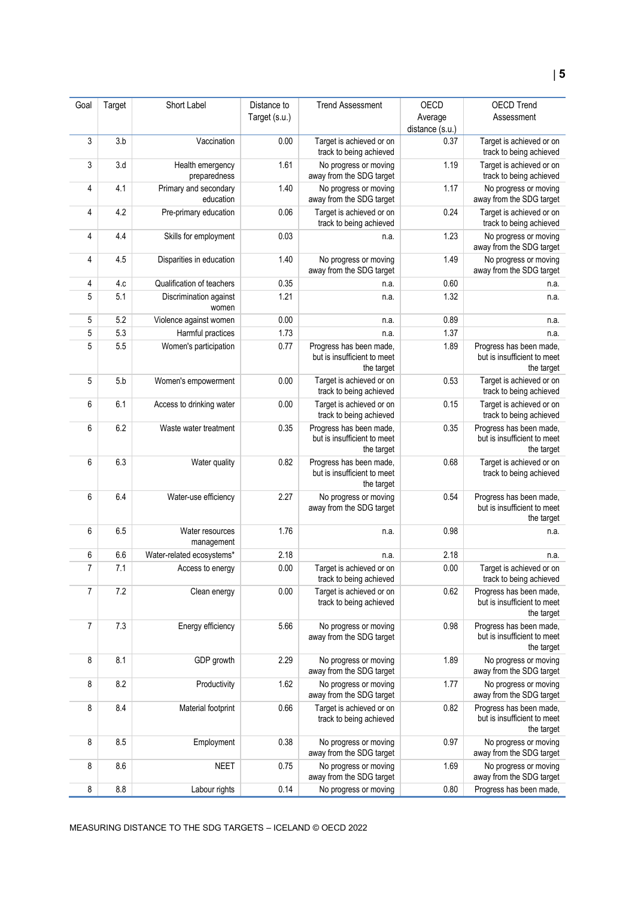| Goal | Target | Short Label                        | Distance to   | <b>Trend Assessment</b>                                              | OECD            | <b>OECD Trend</b>                                                    |
|------|--------|------------------------------------|---------------|----------------------------------------------------------------------|-----------------|----------------------------------------------------------------------|
|      |        |                                    | Target (s.u.) |                                                                      | Average         | Assessment                                                           |
|      |        |                                    |               |                                                                      | distance (s.u.) |                                                                      |
| 3    | 3.b    | Vaccination                        | 0.00          | Target is achieved or on<br>track to being achieved                  | 0.37            | Target is achieved or on<br>track to being achieved                  |
| 3    | 3.d    | Health emergency<br>preparedness   | 1.61          | No progress or moving<br>away from the SDG target                    | 1.19            | Target is achieved or on<br>track to being achieved                  |
| 4    | 4.1    | Primary and secondary<br>education | 1.40          | No progress or moving<br>away from the SDG target                    | 1.17            | No progress or moving<br>away from the SDG target                    |
| 4    | 4.2    | Pre-primary education              | 0.06          | Target is achieved or on<br>track to being achieved                  | 0.24            | Target is achieved or on<br>track to being achieved                  |
| 4    | 4.4    | Skills for employment              | 0.03          | n.a.                                                                 | 1.23            | No progress or moving<br>away from the SDG target                    |
| 4    | 4.5    | Disparities in education           | 1.40          | No progress or moving<br>away from the SDG target                    | 1.49            | No progress or moving<br>away from the SDG target                    |
| 4    | 4.c    | Qualification of teachers          | 0.35          | n.a.                                                                 | 0.60            | n.a.                                                                 |
| 5    | 5.1    | Discrimination against<br>women    | 1.21          | n.a.                                                                 | 1.32            | n.a.                                                                 |
| 5    | 5.2    | Violence against women             | 0.00          | n.a.                                                                 | 0.89            | n.a.                                                                 |
| 5    | 5.3    | Harmful practices                  | 1.73          | n.a.                                                                 | 1.37            | n.a.                                                                 |
| 5    | 5.5    | Women's participation              | 0.77          | Progress has been made,<br>but is insufficient to meet<br>the target | 1.89            | Progress has been made,<br>but is insufficient to meet<br>the target |
| 5    | 5.b    | Women's empowerment                | 0.00          | Target is achieved or on<br>track to being achieved                  | 0.53            | Target is achieved or on<br>track to being achieved                  |
| 6    | 6.1    | Access to drinking water           | 0.00          | Target is achieved or on<br>track to being achieved                  | 0.15            | Target is achieved or on<br>track to being achieved                  |
| 6    | 6.2    | Waste water treatment              | 0.35          | Progress has been made,<br>but is insufficient to meet<br>the target | 0.35            | Progress has been made,<br>but is insufficient to meet<br>the target |
| 6    | 6.3    | Water quality                      | 0.82          | Progress has been made,<br>but is insufficient to meet<br>the target | 0.68            | Target is achieved or on<br>track to being achieved                  |
| 6    | 6.4    | Water-use efficiency               | 2.27          | No progress or moving<br>away from the SDG target                    | 0.54            | Progress has been made,<br>but is insufficient to meet<br>the target |
| 6    | 6.5    | Water resources<br>management      | 1.76          | n.a.                                                                 | 0.98            | n.a.                                                                 |
| 6    | 6.6    | Water-related ecosystems*          | 2.18          | n.a.                                                                 | 2.18            | n.a.                                                                 |
| 7    | 7.1    | Access to energy                   | 0.00          | Target is achieved or on<br>track to being achieved                  | 0.00            | Target is achieved or on<br>track to being achieved                  |
| 7    | 7.2    | Clean energy                       | 0.00          | Target is achieved or on<br>track to being achieved                  | 0.62            | Progress has been made,<br>but is insufficient to meet<br>the target |
| 7    | 7.3    | Energy efficiency                  | 5.66          | No progress or moving<br>away from the SDG target                    | 0.98            | Progress has been made,<br>but is insufficient to meet<br>the target |
| 8    | 8.1    | GDP growth                         | 2.29          | No progress or moving<br>away from the SDG target                    | 1.89            | No progress or moving<br>away from the SDG target                    |
| 8    | 8.2    | Productivity                       | 1.62          | No progress or moving<br>away from the SDG target                    | 1.77            | No progress or moving<br>away from the SDG target                    |
| 8    | 8.4    | Material footprint                 | 0.66          | Target is achieved or on<br>track to being achieved                  | 0.82            | Progress has been made,<br>but is insufficient to meet<br>the target |
| 8    | 8.5    | Employment                         | 0.38          | No progress or moving<br>away from the SDG target                    | 0.97            | No progress or moving<br>away from the SDG target                    |
| 8    | 8.6    | <b>NEET</b>                        | 0.75          | No progress or moving<br>away from the SDG target                    | 1.69            | No progress or moving<br>away from the SDG target                    |
| 8    | 8.8    | Labour rights                      | 0.14          | No progress or moving                                                | 0.80            | Progress has been made,                                              |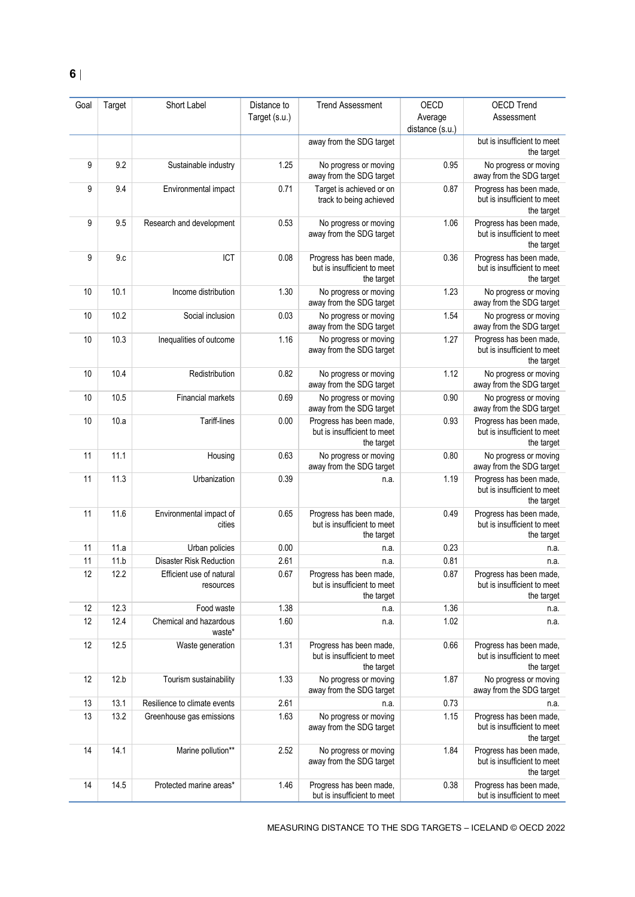| Goal | Target | Short Label                           | Distance to   | <b>Trend Assessment</b>                                              | OECD                       | <b>OECD Trend</b>                                                    |
|------|--------|---------------------------------------|---------------|----------------------------------------------------------------------|----------------------------|----------------------------------------------------------------------|
|      |        |                                       | Target (s.u.) |                                                                      | Average<br>distance (s.u.) | Assessment                                                           |
|      |        |                                       |               | away from the SDG target                                             |                            | but is insufficient to meet<br>the target                            |
| 9    | 9.2    | Sustainable industry                  | 1.25          | No progress or moving<br>away from the SDG target                    | 0.95                       | No progress or moving<br>away from the SDG target                    |
| 9    | 9.4    | Environmental impact                  | 0.71          | Target is achieved or on<br>track to being achieved                  | 0.87                       | Progress has been made,<br>but is insufficient to meet<br>the target |
| 9    | 9.5    | Research and development              | 0.53          | No progress or moving<br>away from the SDG target                    | 1.06                       | Progress has been made,<br>but is insufficient to meet<br>the target |
| 9    | 9.c    | ICT                                   | 0.08          | Progress has been made,<br>but is insufficient to meet<br>the target | 0.36                       | Progress has been made,<br>but is insufficient to meet<br>the target |
| 10   | 10.1   | Income distribution                   | 1.30          | No progress or moving<br>away from the SDG target                    | 1.23                       | No progress or moving<br>away from the SDG target                    |
| 10   | 10.2   | Social inclusion                      | 0.03          | No progress or moving<br>away from the SDG target                    | 1.54                       | No progress or moving<br>away from the SDG target                    |
| 10   | 10.3   | Inequalities of outcome               | 1.16          | No progress or moving<br>away from the SDG target                    | 1.27                       | Progress has been made,<br>but is insufficient to meet<br>the target |
| 10   | 10.4   | Redistribution                        | 0.82          | No progress or moving<br>away from the SDG target                    | 1.12                       | No progress or moving<br>away from the SDG target                    |
| 10   | 10.5   | Financial markets                     | 0.69          | No progress or moving<br>away from the SDG target                    | 0.90                       | No progress or moving<br>away from the SDG target                    |
| 10   | 10.a   | Tariff-lines                          | 0.00          | Progress has been made,<br>but is insufficient to meet<br>the target | 0.93                       | Progress has been made,<br>but is insufficient to meet<br>the target |
| 11   | 11.1   | Housing                               | 0.63          | No progress or moving<br>away from the SDG target                    | 0.80                       | No progress or moving<br>away from the SDG target                    |
| 11   | 11.3   | Urbanization                          | 0.39          | n.a.                                                                 | 1.19                       | Progress has been made,<br>but is insufficient to meet<br>the target |
| 11   | 11.6   | Environmental impact of<br>cities     | 0.65          | Progress has been made,<br>but is insufficient to meet<br>the target | 0.49                       | Progress has been made,<br>but is insufficient to meet<br>the target |
| 11   | 11.a   | Urban policies                        | 0.00          | n.a.                                                                 | 0.23                       | n.a.                                                                 |
| 11   | 11.b   | <b>Disaster Risk Reduction</b>        | 2.61          | n.a.                                                                 | 0.81                       | n.a.                                                                 |
| 12   | 12.2   | Efficient use of natural<br>resources | 0.67          | Progress has been made,<br>but is insufficient to meet<br>the target | 0.87                       | Progress has been made,<br>but is insufficient to meet<br>the target |
| 12   | 12.3   | Food waste                            | 1.38          | n.a.                                                                 | 1.36                       | n.a.                                                                 |
| 12   | 12.4   | Chemical and hazardous<br>waste*      | 1.60          | n.a.                                                                 | 1.02                       | n.a.                                                                 |
| 12   | 12.5   | Waste generation                      | 1.31          | Progress has been made,<br>but is insufficient to meet<br>the target | 0.66                       | Progress has been made,<br>but is insufficient to meet<br>the target |
| 12   | 12.b   | Tourism sustainability                | 1.33          | No progress or moving<br>away from the SDG target                    | 1.87                       | No progress or moving<br>away from the SDG target                    |
| 13   | 13.1   | Resilience to climate events          | 2.61          | n.a.                                                                 | 0.73                       | n.a.                                                                 |
| 13   | 13.2   | Greenhouse gas emissions              | 1.63          | No progress or moving<br>away from the SDG target                    | 1.15                       | Progress has been made,<br>but is insufficient to meet<br>the target |
| 14   | 14.1   | Marine pollution**                    | 2.52          | No progress or moving<br>away from the SDG target                    | 1.84                       | Progress has been made,<br>but is insufficient to meet<br>the target |
| 14   | 14.5   | Protected marine areas*               | 1.46          | Progress has been made,<br>but is insufficient to meet               | 0.38                       | Progress has been made,<br>but is insufficient to meet               |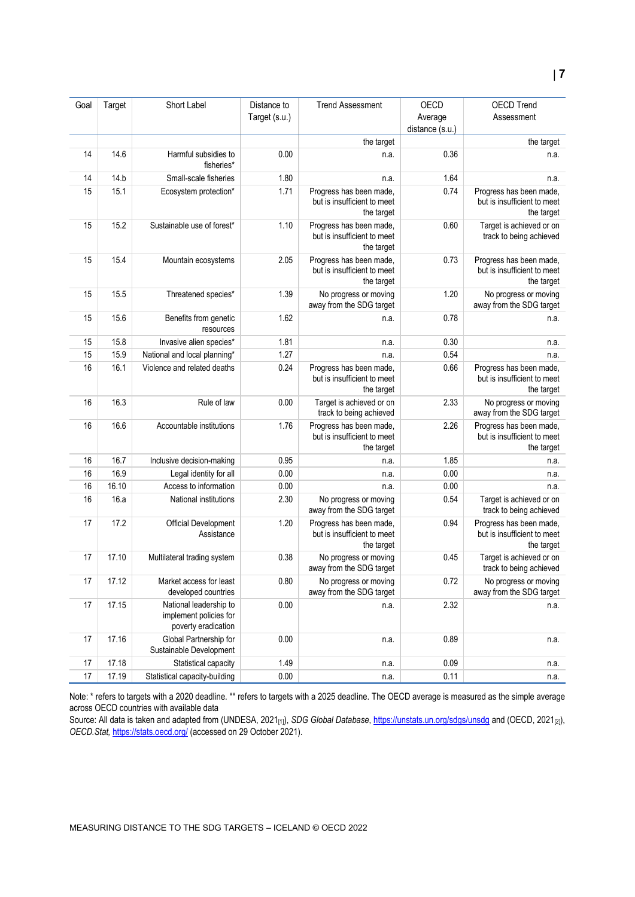| Goal | Target | Short Label                                                             | Distance to<br>Target (s.u.) | <b>Trend Assessment</b>                                              | OECD<br>Average<br>distance (s.u.) | <b>OECD Trend</b><br>Assessment                                      |
|------|--------|-------------------------------------------------------------------------|------------------------------|----------------------------------------------------------------------|------------------------------------|----------------------------------------------------------------------|
|      |        |                                                                         |                              | the target                                                           |                                    | the target                                                           |
| 14   | 14.6   | Harmful subsidies to<br>fisheries*                                      | 0.00                         | n.a.                                                                 | 0.36                               | n.a.                                                                 |
| 14   | 14.b   | Small-scale fisheries                                                   | 1.80                         | n.a.                                                                 | 1.64                               | n.a.                                                                 |
| 15   | 15.1   | Ecosystem protection*                                                   | 1.71                         | Progress has been made,<br>but is insufficient to meet<br>the target | 0.74                               | Progress has been made,<br>but is insufficient to meet<br>the target |
| 15   | 15.2   | Sustainable use of forest*                                              | 1.10                         | Progress has been made,<br>but is insufficient to meet<br>the target | 0.60                               | Target is achieved or on<br>track to being achieved                  |
| 15   | 15.4   | Mountain ecosystems                                                     | 2.05                         | Progress has been made,<br>but is insufficient to meet<br>the target | 0.73                               | Progress has been made,<br>but is insufficient to meet<br>the target |
| 15   | 15.5   | Threatened species*                                                     | 1.39                         | No progress or moving<br>away from the SDG target                    | 1.20                               | No progress or moving<br>away from the SDG target                    |
| 15   | 15.6   | Benefits from genetic<br>resources                                      | 1.62                         | n.a.                                                                 | 0.78                               | n.a.                                                                 |
| 15   | 15.8   | Invasive alien species*                                                 | 1.81                         | n.a.                                                                 | 0.30                               | n.a.                                                                 |
| 15   | 15.9   | National and local planning*                                            | 1.27                         | n.a.                                                                 | 0.54                               | n.a.                                                                 |
| 16   | 16.1   | Violence and related deaths                                             | 0.24                         | Progress has been made,<br>but is insufficient to meet<br>the target | 0.66                               | Progress has been made,<br>but is insufficient to meet<br>the target |
| 16   | 16.3   | Rule of law                                                             | 0.00                         | Target is achieved or on<br>track to being achieved                  | 2.33                               | No progress or moving<br>away from the SDG target                    |
| 16   | 16.6   | Accountable institutions                                                | 1.76                         | Progress has been made,<br>but is insufficient to meet<br>the target | 2.26                               | Progress has been made,<br>but is insufficient to meet<br>the target |
| 16   | 16.7   | Inclusive decision-making                                               | 0.95                         | n.a.                                                                 | 1.85                               | n.a.                                                                 |
| 16   | 16.9   | Legal identity for all                                                  | 0.00                         | n.a.                                                                 | 0.00                               | n.a.                                                                 |
| 16   | 16.10  | Access to information                                                   | 0.00                         | n.a.                                                                 | 0.00                               | n.a.                                                                 |
| 16   | 16.a   | National institutions                                                   | 2.30                         | No progress or moving<br>away from the SDG target                    | 0.54                               | Target is achieved or on<br>track to being achieved                  |
| 17   | 17.2   | Official Development<br>Assistance                                      | 1.20                         | Progress has been made,<br>but is insufficient to meet<br>the target | 0.94                               | Progress has been made,<br>but is insufficient to meet<br>the target |
| 17   | 17.10  | Multilateral trading system                                             | 0.38                         | No progress or moving<br>away from the SDG target                    | 0.45                               | Target is achieved or on<br>track to being achieved                  |
| 17   | 17.12  | Market access for least<br>developed countries                          | 0.80                         | No progress or moving<br>away from the SDG target                    | 0.72                               | No progress or moving<br>away from the SDG target                    |
| 17   | 17.15  | National leadership to<br>implement policies for<br>poverty eradication | 0.00                         | n.a.                                                                 | 2.32                               | n.a.                                                                 |
| 17   | 17.16  | Global Partnership for<br>Sustainable Development                       | 0.00                         | n.a.                                                                 | 0.89                               | n.a.                                                                 |
| 17   | 17.18  | Statistical capacity                                                    | 1.49                         | n.a.                                                                 | 0.09                               | n.a.                                                                 |
| 17   | 17.19  | Statistical capacity-building                                           | 0.00                         | n.a.                                                                 | 0.11                               | n.a.                                                                 |

Note: \* refers to targets with a 2020 deadline. \*\* refers to targets with a 2025 deadline. The OECD average is measured as the simple average across OECD countries with available data

Source: All data is taken and adapted from (UNDESA, 2021<sub>[1]</sub>), *SDG Global Database*[, https://unstats.un.org/sdgs/unsdg](https://unstats.un.org/sdgs/unsdg) and (OECD, 2021<sub>[2]</sub>), *OECD.Stat,* <https://stats.oecd.org/> (accessed on 29 October 2021).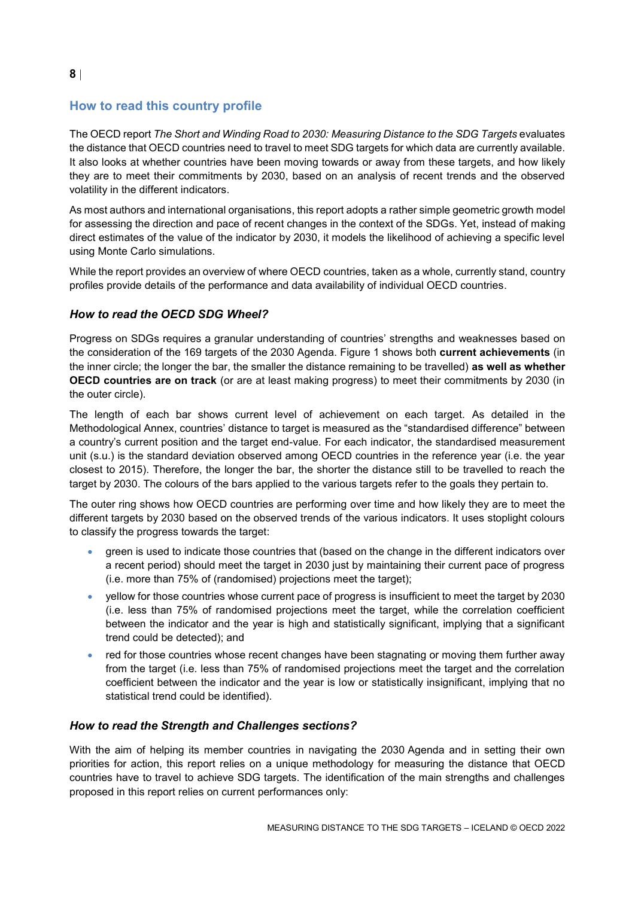# <span id="page-7-0"></span>**How to read this country profile**

The OECD report *The Short and Winding Road to 2030: Measuring Distance to the SDG Targets* evaluates the distance that OECD countries need to travel to meet SDG targets for which data are currently available. It also looks at whether countries have been moving towards or away from these targets, and how likely they are to meet their commitments by 2030, based on an analysis of recent trends and the observed volatility in the different indicators.

As most authors and international organisations, this report adopts a rather simple geometric growth model for assessing the direction and pace of recent changes in the context of the SDGs. Yet, instead of making direct estimates of the value of the indicator by 2030, it models the likelihood of achieving a specific level using Monte Carlo simulations.

While the report provides an overview of where OECD countries, taken as a whole, currently stand, country profiles provide details of the performance and data availability of individual OECD countries.

### *How to read the OECD SDG Wheel?*

Progress on SDGs requires a granular understanding of countries' strengths and weaknesses based on the consideration of the 169 targets of the 2030 Agenda. [Figure](#page-0-0) 1 shows both **current achievements** (in the inner circle; the longer the bar, the smaller the distance remaining to be travelled) **as well as whether OECD countries are on track** (or are at least making progress) to meet their commitments by 2030 (in the outer circle).

The length of each bar shows current level of achievement on each target. As detailed in the Methodological Annex, countries' distance to target is measured as the "standardised difference" between a country's current position and the target end-value. For each indicator, the standardised measurement unit (s.u.) is the standard deviation observed among OECD countries in the reference year (i.e. the year closest to 2015). Therefore, the longer the bar, the shorter the distance still to be travelled to reach the target by 2030. The colours of the bars applied to the various targets refer to the goals they pertain to.

The outer ring shows how OECD countries are performing over time and how likely they are to meet the different targets by 2030 based on the observed trends of the various indicators. It uses stoplight colours to classify the progress towards the target:

- green is used to indicate those countries that (based on the change in the different indicators over a recent period) should meet the target in 2030 just by maintaining their current pace of progress (i.e. more than 75% of (randomised) projections meet the target);
- yellow for those countries whose current pace of progress is insufficient to meet the target by 2030 (i.e. less than 75% of randomised projections meet the target, while the correlation coefficient between the indicator and the year is high and statistically significant, implying that a significant trend could be detected); and
- red for those countries whose recent changes have been stagnating or moving them further away from the target (i.e. less than 75% of randomised projections meet the target and the correlation coefficient between the indicator and the year is low or statistically insignificant, implying that no statistical trend could be identified).

### *How to read the Strength and Challenges sections?*

With the aim of helping its member countries in navigating the 2030 Agenda and in setting their own priorities for action, this report relies on a unique methodology for measuring the distance that OECD countries have to travel to achieve SDG targets. The identification of the main strengths and challenges proposed in this report relies on current performances only: